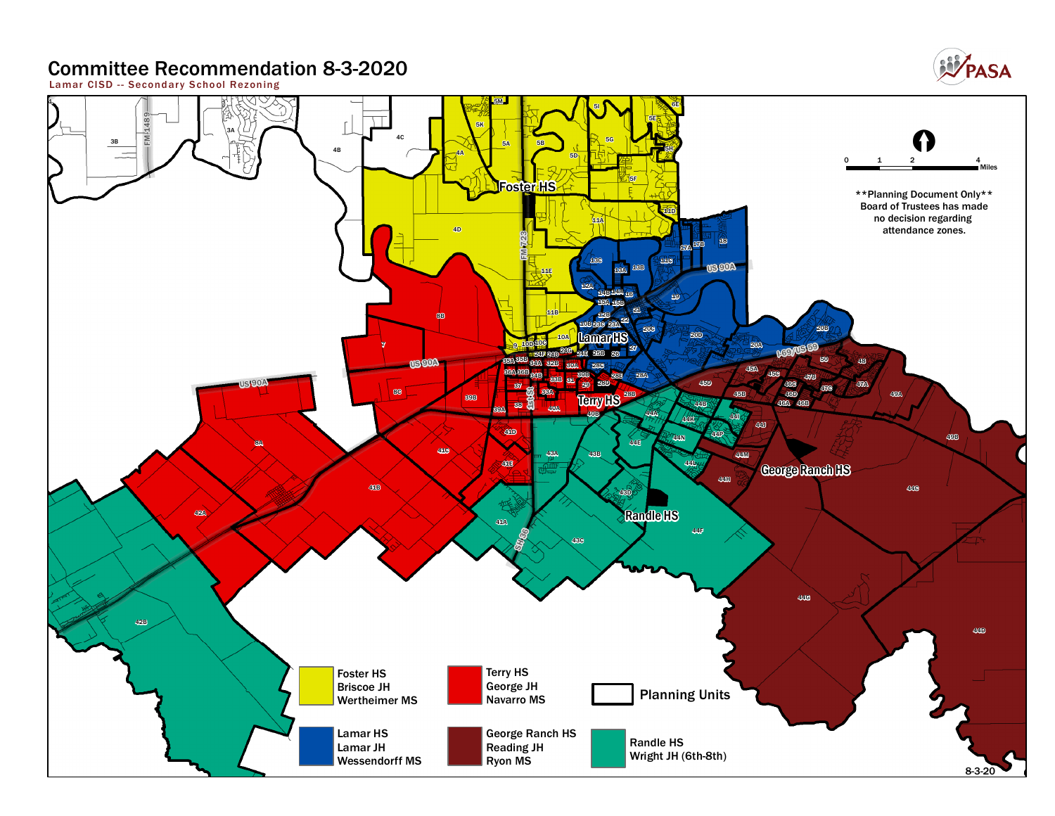### **Committee Recommendation 8-3-2020**

**Lamar CISD - - Secondar y School Rezoning**



**WPASA**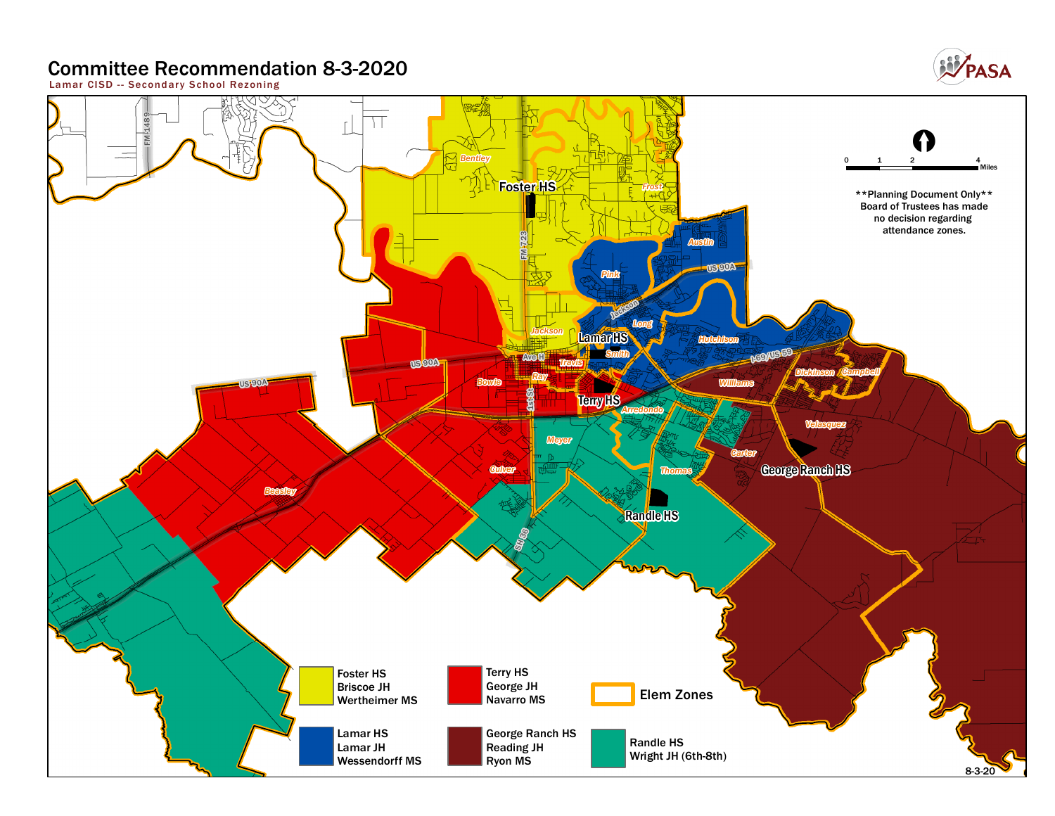### **Committee Recommendation 8-3-2020**

**Lamar CISD - - Secondar y School Rezoning**



**EV** PASA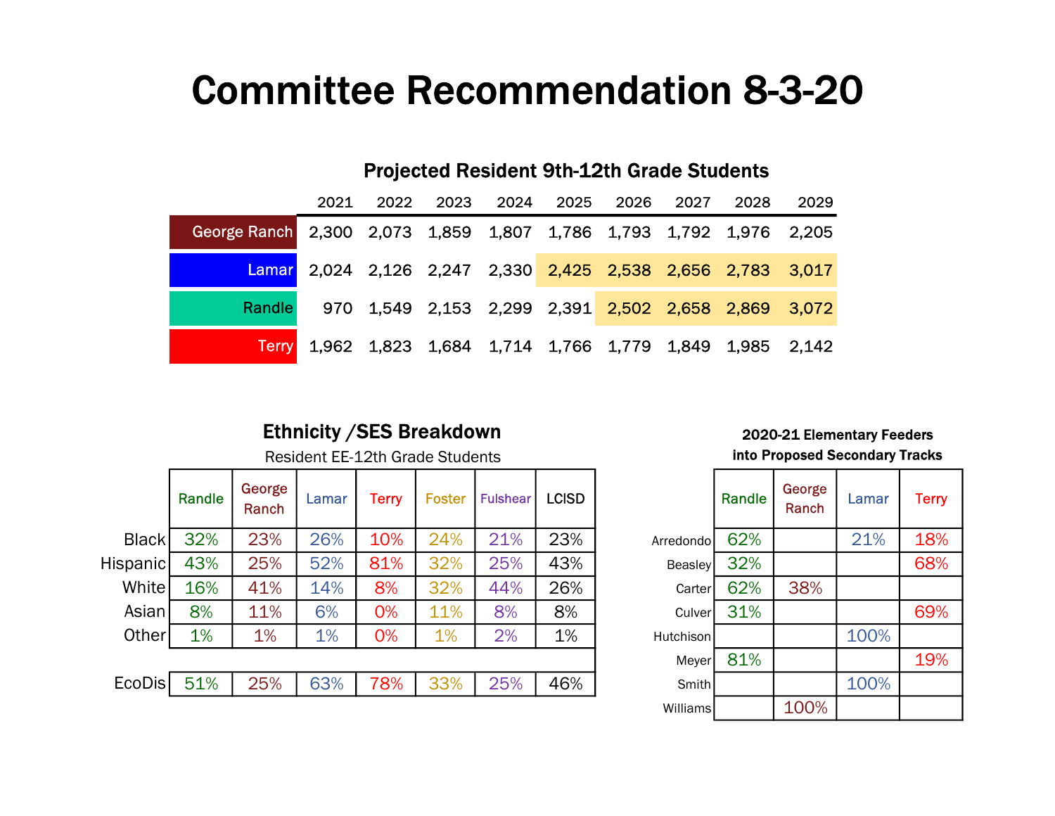# Committee Recommendation 8-3-20

|                                                                    | <b>Projected Resident 9th-12th Grade Students</b>           |      |      |      |      |      |      |                                                       |      |  |
|--------------------------------------------------------------------|-------------------------------------------------------------|------|------|------|------|------|------|-------------------------------------------------------|------|--|
|                                                                    | 2021                                                        | 2022 | 2023 | 2024 | 2025 | 2026 | 2027 | 2028                                                  | 2029 |  |
| George Ranch 2,300 2,073 1,859 1,807 1,786 1,793 1,792 1,976 2,205 |                                                             |      |      |      |      |      |      |                                                       |      |  |
|                                                                    | Lamar 2,024 2,126 2,247 2,330 2,425 2,538 2,656 2,783 3,017 |      |      |      |      |      |      |                                                       |      |  |
| <b>Randle</b>                                                      | 970                                                         |      |      |      |      |      |      | 1,549 2,153 2,299 2,391 2,502 2,658 2,869 3,072       |      |  |
| <b>Terry</b>                                                       |                                                             |      |      |      |      |      |      | 1,962 1,823 1,684 1,714 1,766 1,779 1,849 1,985 2,142 |      |  |

## Ethnicity / SES Breakdown 2020-21 Elementary Feeders

|               | Randle | George<br>Ranch | Lamar | Terry | Foster | <b>Fulshear</b> | <b>LCISD</b> |                | Randle | George<br>Ranch | Lamar | <b>Terry</b> |
|---------------|--------|-----------------|-------|-------|--------|-----------------|--------------|----------------|--------|-----------------|-------|--------------|
| <b>Black</b>  | 32%    | 23%             | 26%   | 10%   | 24%    | 21%             | 23%          | Arredondol     | 62%    |                 | 21%   | 18%          |
| Hispanic      | 43%    | 25%             | 52%   | 81%   | 32%    | 25%             | 43%          | <b>Beasley</b> | 32%    |                 |       | 68%          |
| White         | 16%    | 41%             | 14%   | 8%    | 32%    | 44%             | 26%          | Carter         | 62%    | 38%             |       |              |
| Asian         | 8%     | 11%             | 6%    | 0%    | 11%    | 8%              | 8%           | Culver         | 31%    |                 |       | 69%          |
| Other         | 1%     | 1%              | 1%    | 0%    | 1%     | 2%              | 1%           | Hutchison      |        |                 | 100%  |              |
|               |        |                 |       | Meyer | 81%    |                 |              | 19%            |        |                 |       |              |
| <b>EcoDis</b> | 51%    | 25%             | 63%   | 78%   | 33%    | 25%             | 46%          | <b>Smith</b>   |        |                 | 100%  |              |
|               |        |                 |       |       |        |                 |              |                |        |                 |       |              |

## Resident EE-12th Grade Students **into Proposed Secondary Tracks**

|                | Randle | George<br>Ranch | Lamar | <b>Terry</b> |
|----------------|--------|-----------------|-------|--------------|
| Arredondo      | 62%    |                 | 21%   | 18%          |
| <b>Beasley</b> | 32%    |                 |       | 68%          |
| Carter         | 62%    | 38%             |       |              |
| Culver         | 31%    |                 |       | 69%          |
| Hutchison      |        |                 | 100%  |              |
| Meyer          | 81%    |                 |       | 19%          |
| Smith          |        |                 | 100%  |              |
| Williams       |        | 100%            |       |              |